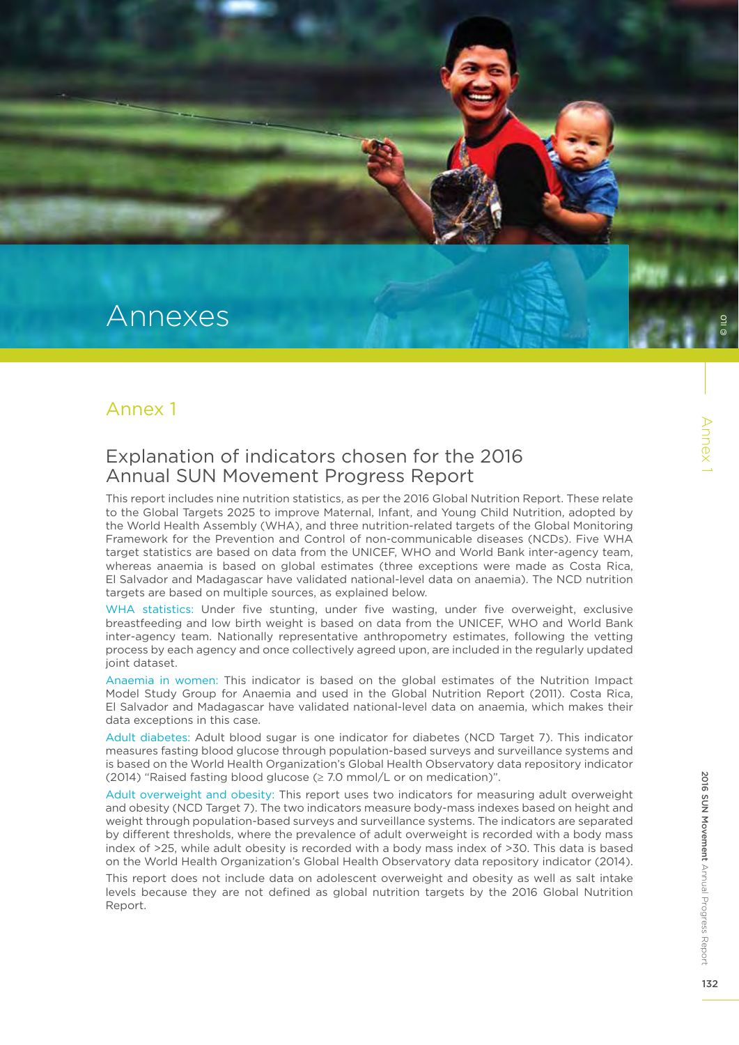# Annexes

#### Annex 1

#### Explanation of indicators chosen for the 2016 Annual SUN Movement Progress Report

This report includes nine nutrition statistics, as per the 2016 Global Nutrition Report. These relate to the Global Targets 2025 to improve Maternal, Infant, and Young Child Nutrition, adopted by the World Health Assembly (WHA), and three nutrition-related targets of the Global Monitoring Framework for the Prevention and Control of non-communicable diseases (NCDs). Five WHA target statistics are based on data from the UNICEF, WHO and World Bank inter-agency team, whereas anaemia is based on global estimates (three exceptions were made as Costa Rica, El Salvador and Madagascar have validated national-level data on anaemia). The NCD nutrition targets are based on multiple sources, as explained below.

WHA statistics: Under five stunting, under five wasting, under five overweight, exclusive breastfeeding and low birth weight is based on data from the UNICEF, WHO and World Bank inter-agency team. Nationally representative anthropometry estimates, following the vetting process by each agency and once collectively agreed upon, are included in the regularly updated joint dataset.

Anaemia in women: This indicator is based on the global estimates of the Nutrition Impact Model Study Group for Anaemia and used in the Global Nutrition Report (2011). Costa Rica, El Salvador and Madagascar have validated national-level data on anaemia, which makes their data exceptions in this case.

Adult diabetes: Adult blood sugar is one indicator for diabetes (NCD Target 7). This indicator measures fasting blood glucose through population-based surveys and surveillance systems and is based on the World Health Organization's Global Health Observatory data repository indicator (2014) "Raised fasting blood glucose (≥ 7.0 mmol/L or on medication)".

Adult overweight and obesity: This report uses two indicators for measuring adult overweight and obesity (NCD Target 7). The two indicators measure body-mass indexes based on height and weight through population-based surveys and surveillance systems. The indicators are separated by different thresholds, where the prevalence of adult overweight is recorded with a body mass index of >25, while adult obesity is recorded with a body mass index of >30. This data is based on the World Health Organization's Global Health Observatory data repository indicator (2014).

This report does not include data on adolescent overweight and obesity as well as salt intake levels because they are not defined as global nutrition targets by the 2016 Global Nutrition Report.

© ILO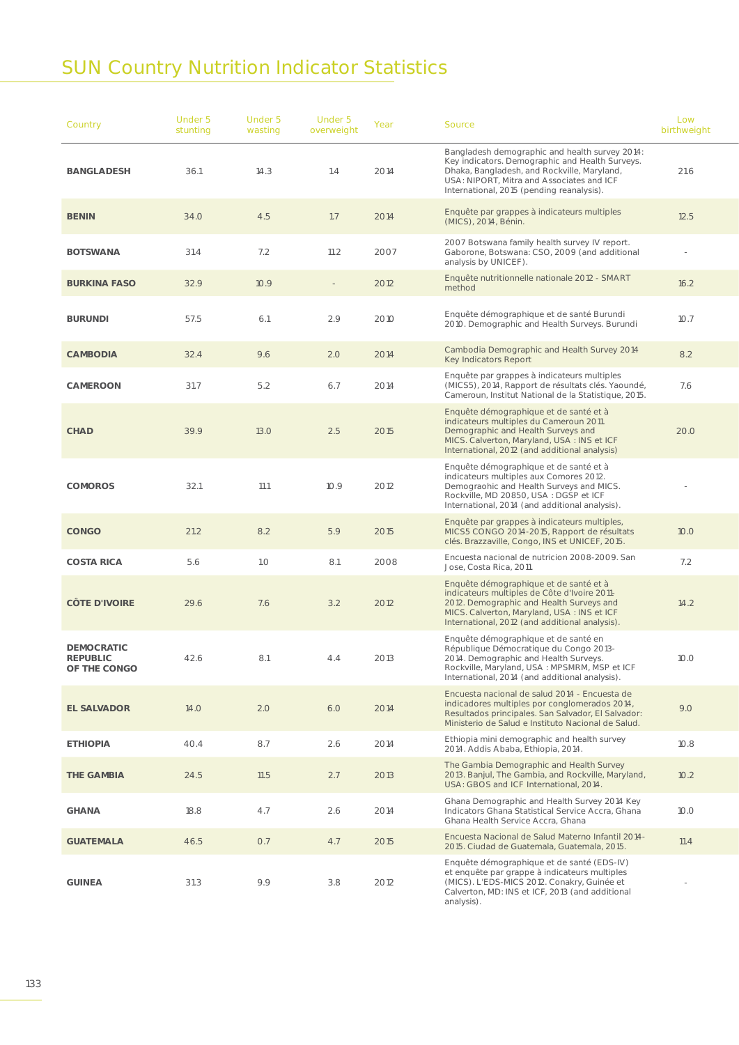## SUN Country Nutrition Indicator Statistics

| Country                                              | Under 5<br>stunting | Under 5<br>wasting | Under 5<br>overweight | Year | Source                                                                                                                                                                                                                                     | Low<br>birthweight |  |
|------------------------------------------------------|---------------------|--------------------|-----------------------|------|--------------------------------------------------------------------------------------------------------------------------------------------------------------------------------------------------------------------------------------------|--------------------|--|
| BANGLADESH                                           | 36.1                | 14.3               | 1.4                   | 2014 | Bangladesh demographic and health survey 2014:<br>Key indicators. Demographic and Health Surveys.<br>Dhaka, Bangladesh, and Rockville, Maryland,<br>USA: NIPORT, Mitra and Associates and ICF<br>International, 2015 (pending reanalysis). | 21.6               |  |
| <b>BENIN</b>                                         | 34.O                | 4.5                | 1.7                   | 2014 | Enquête par grappes à indicateurs multiples<br>(MICS), 2014, Bénin.                                                                                                                                                                        | 12.5               |  |
| <b>BOTSWANA</b>                                      | 31.4                | 7.2                | 11.2                  | 2007 | 2007 Botswana family health survey IV report.<br>Gaborone, Botswana: CSO, 2009 (and additional<br>analysis by UNICEF).                                                                                                                     |                    |  |
| <b>BURKINA FASO</b>                                  | 32.9                | 10.9               | $\sim$                | 2012 | Enquête nutritionnelle nationale 2012 - SMART<br>method                                                                                                                                                                                    | 16.2               |  |
| <b>BURUNDI</b>                                       | 57.5                | 6.1                | 2.9                   | 2010 | Enquête démographique et de santé Burundi<br>2010. Demographic and Health Surveys. Burundi                                                                                                                                                 | 10.7               |  |
| <b>CAMBODIA</b>                                      | 32.4                | 9.6                | 2.0                   | 2014 | Cambodia Demographic and Health Survey 2014<br>Key Indicators Report                                                                                                                                                                       | 8.2                |  |
| CAMEROON                                             | 31.7                | 5.2                | 6.7                   | 2014 | Enquête par grappes à indicateurs multiples<br>(MICS5), 2014, Rapport de résultats clés. Yaoundé,<br>Cameroun, Institut National de la Statistique, 2015.                                                                                  | 7.6                |  |
| <b>CHAD</b>                                          | 39.9                | 13.0               | 2.5                   | 2015 | Enquête démographique et de santé et à<br>indicateurs multiples du Cameroun 2011.<br>Demographic and Health Surveys and<br>MICS. Calverton, Maryland, USA: INS et ICF<br>International, 2012 (and additional analysis)                     | 20.0               |  |
| <b>COMOROS</b>                                       | 32.1                | 11.1               | 10.9                  | 2012 | Enquête démographique et de santé et à<br>indicateurs multiples aux Comores 2012.<br>Demograohic and Health Surveys and MICS.<br>Rockville, MD 20850, USA : DGSP et ICF<br>International, 2014 (and additional analysis).                  |                    |  |
| <b>CONGO</b>                                         | 21.2                | 8.2                | 5.9                   | 2015 | Enquête par grappes à indicateurs multiples,<br>MICS5 CONGO 2014-2015, Rapport de résultats<br>clés. Brazzaville, Congo, INS et UNICEF, 2015.                                                                                              | 10.0               |  |
| <b>COSTA RICA</b>                                    | 5.6                 | 1.0                | 8.1                   | 2008 | Encuesta nacional de nutricion 2008-2009. San<br>Jose, Costa Rica, 2011.                                                                                                                                                                   | 7.2                |  |
| <b>CÔTE D'IVOIRE</b>                                 | 29.6                | 7.6                | 3.2                   | 2012 | Enquête démographique et de santé et à<br>indicateurs multiples de Côte d'Ivoire 2011-<br>2012. Demographic and Health Surveys and<br>MICS. Calverton, Maryland, USA: INS et ICF<br>International, 2012 (and additional analysis).         | 14.2               |  |
| <b>DEMOCRATIC</b><br><b>REPUBLIC</b><br>OF THE CONGO | 42.6                | 8.1                | 4.4                   | 2013 | Enquête démographique et de santé en<br>République Démocratique du Congo 2013-<br>2014. Demographic and Health Surveys.<br>Rockville, Maryland, USA : MPSMRM, MSP et ICF<br>International, 2014 (and additional analysis).                 | 10.0               |  |
| <b>EL SALVADOR</b>                                   | 14.O                | 2.0                | 6.0                   | 2014 | Encuesta nacional de salud 2014 - Encuesta de<br>indicadores multiples por conglomerados 2014,<br>Resultados principales. San Salvador, El Salvador:<br>Ministerio de Salud e Instituto Nacional de Salud.                                 | 9.0                |  |
| <b>ETHIOPIA</b>                                      | 40.4                | 8.7                | 2.6                   | 2014 | Ethiopia mini demographic and health survey<br>2014. Addis Ababa, Ethiopia, 2014.                                                                                                                                                          | 10.8               |  |
| THE GAMBIA                                           | 24.5                | 11.5               | 2.7                   | 2013 | The Gambia Demographic and Health Survey<br>2013. Banjul, The Gambia, and Rockville, Maryland,<br>USA: GBOS and ICF International, 2014.                                                                                                   | 10.2               |  |
| <b>GHANA</b>                                         | 18.8                | 4.7                | 2.6                   | 2014 | Ghana Demographic and Health Survey 2014 Key<br>Indicators Ghana Statistical Service Accra, Ghana<br>Ghana Health Service Accra, Ghana                                                                                                     | 10.0               |  |
| <b>GUATEMALA</b>                                     | 46.5                | O.7                | 4.7                   | 2015 | Encuesta Nacional de Salud Materno Infantil 2014-<br>2015. Ciudad de Guatemala, Guatemala, 2015.                                                                                                                                           | 11.4               |  |
| <b>GUINEA</b>                                        | 31.3                | 9.9                | 3.8                   | 2012 | Enquête démographique et de santé (EDS-IV)<br>et enquête par grappe à indicateurs multiples<br>(MICS). L'EDS-MICS 2012. Conakry, Guinée et<br>Calverton, MD: INS et ICF, 2013 (and additional<br>analysis).                                | $\sim$             |  |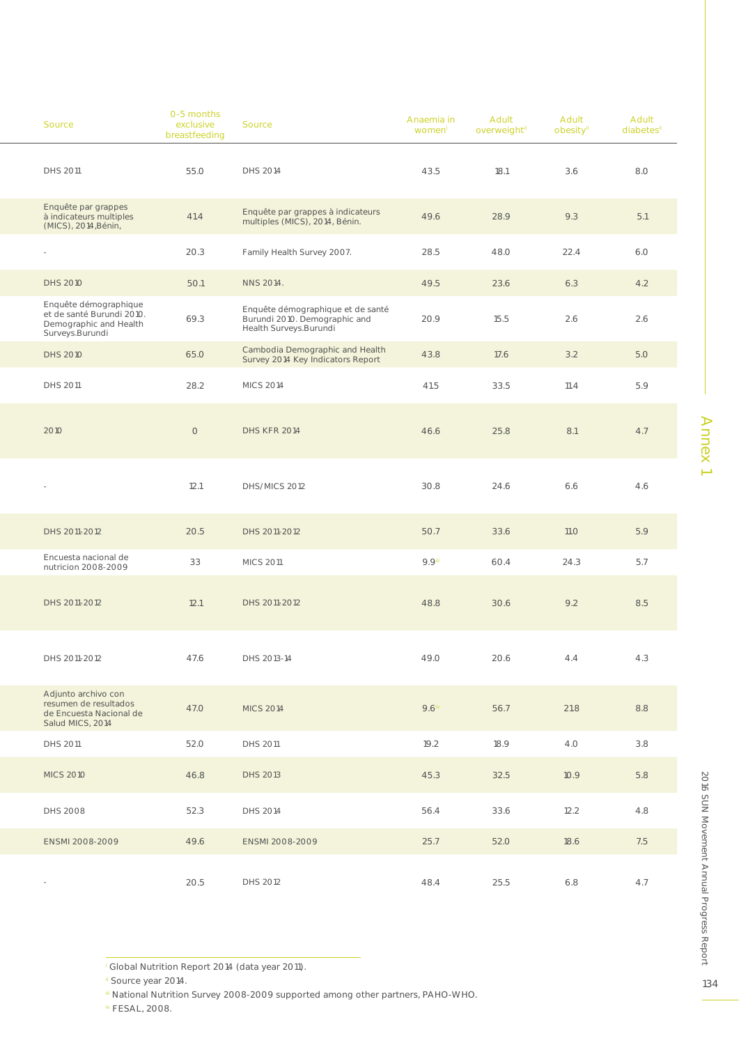| Source                                                                                          | 0-5 months<br>exclusive<br>breastfeeding | Source                                                                                        | Anaemia in<br>women | Adult<br>overweighti | Adult<br>obesity | Adult<br>diabetesi |  |
|-------------------------------------------------------------------------------------------------|------------------------------------------|-----------------------------------------------------------------------------------------------|---------------------|----------------------|------------------|--------------------|--|
| DHS 2011                                                                                        | 55.0                                     | DHS 2014                                                                                      | 43.5                | 18.1                 | 3.6              | 8.0                |  |
| Enquête par grappes<br>à indicateurs multiples<br>(MICS), 2014, Bénin,                          | 41.4                                     | Enquête par grappes à indicateurs<br>multiples (MICS), 2014, Bénin.                           | 49.6                | 28.9                 | 9.3              | 5.1                |  |
| $\sim$                                                                                          | 20.3                                     | Family Health Survey 2007.                                                                    | 28.5                | 48.O                 | 22.4             | 6.0                |  |
| <b>DHS 2010</b>                                                                                 | 50.1                                     | NNS 2014.                                                                                     | 49.5                | 23.6                 | 6.3              | 4.2                |  |
| Enquête démographique<br>et de santé Burundi 2010.<br>Demographic and Health<br>Surveys.Burundi | 69.3                                     | Enquête démographique et de santé<br>Burundi 2010. Demographic and<br>Health Surveys. Burundi | 20.9                | 15.5                 | 2.6              | 2.6                |  |
| <b>DHS 2010</b>                                                                                 | 65.0                                     | Cambodia Demographic and Health<br>Survey 2014 Key Indicators Report                          | 43.8                | 17.6                 | 3.2              | 5.0                |  |
| DHS 2011                                                                                        | 28.2                                     | <b>MICS 2014</b>                                                                              | 41.5                | 33.5                 | 11.4             | 5.9                |  |
| 2010                                                                                            | $\circ$                                  | <b>DHS KFR 2014</b>                                                                           | 46.6                | 25.8                 | 8.1              | 4.7                |  |
| $\sim$                                                                                          | 12.1                                     | DHS/MICS 2012                                                                                 | 30.8                | 24.6                 | 6.6              | 4.6                |  |
| DHS 2011-2012                                                                                   | 20.5                                     | DHS 2011-2012                                                                                 | 50.7                | 33.6                 | 11.0             | 5.9                |  |
| Encuesta nacional de<br>nutricion 2008-2009                                                     | 33                                       | <b>MICS 2011</b>                                                                              | 9.9                 | 60.4                 | 24.3             | 5.7                |  |
| DHS 2011-2012                                                                                   | 12.1                                     | DHS 2011-2012                                                                                 | 48.8                | 30.6                 | 9.2              | 8.5                |  |
| DHS 2011-2012                                                                                   | 47.6                                     | DHS 2013-14                                                                                   | 49.0                | 20.6                 | 4.4              | 4.3                |  |
| Adjunto archivo con<br>resumen de resultados<br>de Encuesta Nacional de<br>Salud MICS, 2014     | 47.0                                     | <b>MICS 2014</b>                                                                              | $9.6^{\text{iv}}$   | 56.7                 | 21.8             | 8.8                |  |
| DHS 2011                                                                                        | 52.0                                     | DHS 2011                                                                                      | 19.2                | 18.9                 | 4.O              | 3.8                |  |
| <b>MICS 2010</b>                                                                                | 46.8                                     | <b>DHS 2013</b>                                                                               | 45.3                | 32.5                 | 10.9             | 5.8                |  |
| DHS 2008                                                                                        | 52.3                                     | DHS 2014                                                                                      | 56.4                | 33.6                 | 12.2             | 4.8                |  |
| ENSMI 2008-2009                                                                                 | 49.6                                     | ENSMI 2008-2009                                                                               | 25.7                | 52.0                 | 18.6             | 7.5                |  |
| $\sim$                                                                                          | 20.5                                     | DHS 2012                                                                                      | 48.4                | 25.5                 | 6.8              | 4.7                |  |

Annex1 Annex 1

iv FESAL, 2008.

i Global Nutrition Report 2014 (data year 2011).

ii Source year 2014.

iii National Nutrition Survey 2008-2009 supported among other partners, PAHO-WHO.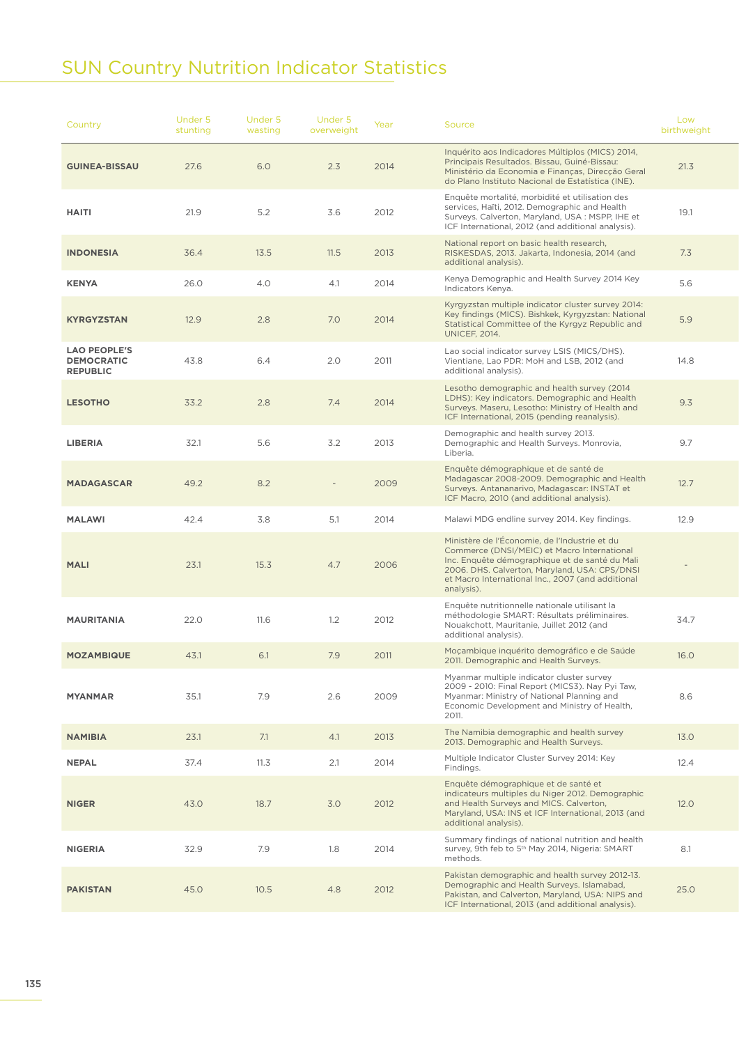### SUN Country Nutrition Indicator Statistics

| Country                                                     | Under 5<br>stunting | Under 5<br>wasting | Under 5<br>overweight | Year | Source                                                                                                                                                                                                                                                             | Low<br>birthweight |  |  |
|-------------------------------------------------------------|---------------------|--------------------|-----------------------|------|--------------------------------------------------------------------------------------------------------------------------------------------------------------------------------------------------------------------------------------------------------------------|--------------------|--|--|
| <b>GUINEA-BISSAU</b>                                        | 27.6                | 6.0                | 2.3                   | 2014 | Inquérito aos Indicadores Múltiplos (MICS) 2014,<br>Principais Resultados. Bissau, Guiné-Bissau:<br>Ministério da Economia e Finanças, Direcção Geral<br>do Plano Instituto Nacional de Estatística (INE).                                                         | 21.3               |  |  |
| <b>HAITI</b>                                                | 21.9                | 5.2                | 3.6                   | 2012 | Enquête mortalité, morbidité et utilisation des<br>services, Haïti, 2012. Demographic and Health<br>Surveys. Calverton, Maryland, USA: MSPP, IHE et<br>ICF International, 2012 (and additional analysis).                                                          | 19.1               |  |  |
| <b>INDONESIA</b>                                            | 36.4                | 13.5               | 11.5                  | 2013 | National report on basic health research,<br>RISKESDAS, 2013. Jakarta, Indonesia, 2014 (and<br>additional analysis).                                                                                                                                               | 7.3                |  |  |
| <b>KENYA</b>                                                | 26.0                | 4.0                | 4.1                   | 2014 | Kenya Demographic and Health Survey 2014 Key<br>Indicators Kenya.                                                                                                                                                                                                  | 5.6                |  |  |
| <b>KYRGYZSTAN</b>                                           | 12.9                | 2.8                | 7.0                   | 2014 | Kyrgyzstan multiple indicator cluster survey 2014:<br>Key findings (MICS). Bishkek, Kyrgyzstan: National<br>Statistical Committee of the Kyrgyz Republic and<br><b>UNICEF, 2014.</b>                                                                               | 5.9                |  |  |
| <b>LAO PEOPLE'S</b><br><b>DEMOCRATIC</b><br><b>REPUBLIC</b> | 43.8                | 6.4                | 2.0                   | 2011 | Lao social indicator survey LSIS (MICS/DHS).<br>Vientiane, Lao PDR: MoH and LSB, 2012 (and<br>additional analysis).                                                                                                                                                | 14.8               |  |  |
| <b>LESOTHO</b>                                              | 33.2                | 2.8                | 7.4                   | 2014 | Lesotho demographic and health survey (2014)<br>LDHS): Key indicators. Demographic and Health<br>Surveys. Maseru, Lesotho: Ministry of Health and<br>ICF International, 2015 (pending reanalysis).                                                                 | 9.3                |  |  |
| <b>LIBERIA</b>                                              | 32.1                | 5.6                | 3.2                   | 2013 | Demographic and health survey 2013.<br>Demographic and Health Surveys. Monrovia,<br>Liberia.                                                                                                                                                                       | 9.7                |  |  |
| <b>MADAGASCAR</b>                                           | 49.2                | 8.2                |                       | 2009 | Enquête démographique et de santé de<br>Madagascar 2008-2009. Demographic and Health<br>Surveys. Antananarivo, Madagascar: INSTAT et<br>ICF Macro, 2010 (and additional analysis).                                                                                 | 12.7               |  |  |
| <b>MALAWI</b>                                               | 42.4                | 3.8                | 5.1                   | 2014 | Malawi MDG endline survey 2014. Key findings.                                                                                                                                                                                                                      | 12.9               |  |  |
| <b>MALI</b>                                                 | 23.1                | 15.3               | 4.7                   | 2006 | Ministère de l'Économie, de l'Industrie et du<br>Commerce (DNSI/MEIC) et Macro International<br>Inc. Enquête démographique et de santé du Mali<br>2006. DHS. Calverton, Maryland, USA: CPS/DNSI<br>et Macro International Inc., 2007 (and additional<br>analysis). |                    |  |  |
| MAURITANIA                                                  | 22.0                | 11.6               | 1.2                   | 2012 | Enquête nutritionnelle nationale utilisant la<br>méthodologie SMART: Résultats préliminaires.<br>Nouakchott, Mauritanie, Juillet 2012 (and<br>additional analysis).                                                                                                | 34.7               |  |  |
| <b>MOZAMBIQUE</b>                                           | 43.1                | 6.1                | 7.9                   | 2011 | Moçambique inquérito demográfico e de Saúde<br>2011. Demographic and Health Surveys.                                                                                                                                                                               | 16.0               |  |  |
| <b>MYANMAR</b>                                              | 35.1                | 7.9                | 2.6                   | 2009 | Myanmar multiple indicator cluster survey<br>2009 - 2010: Final Report (MICS3). Nay Pyi Taw,<br>Myanmar: Ministry of National Planning and<br>Economic Development and Ministry of Health,<br>2011.                                                                | 8.6                |  |  |
| <b>NAMIBIA</b>                                              | 23.1                | 7.1                | 4.1                   | 2013 | The Namibia demographic and health survey<br>2013. Demographic and Health Surveys.                                                                                                                                                                                 | 13.0               |  |  |
| <b>NEPAL</b>                                                | 37.4                | 11.3               | 2.1                   | 2014 | Multiple Indicator Cluster Survey 2014: Key<br>Findings.                                                                                                                                                                                                           | 12.4               |  |  |
| <b>NIGER</b>                                                | 43.0                | 18.7               | 3.0                   | 2012 | Enquête démographique et de santé et<br>indicateurs multiples du Niger 2012. Demographic<br>and Health Surveys and MICS. Calverton,<br>Maryland, USA: INS et ICF International, 2013 (and<br>additional analysis).                                                 | 12.0               |  |  |
| <b>NIGERIA</b>                                              | 32.9                | 7.9                | 1.8                   | 2014 | Summary findings of national nutrition and health<br>survey, 9th feb to 5th May 2014, Nigeria: SMART<br>methods.                                                                                                                                                   | 8.1                |  |  |
| <b>PAKISTAN</b>                                             | 45.0                | 10.5               | 4.8                   | 2012 | Pakistan demographic and health survey 2012-13.<br>Demographic and Health Surveys. Islamabad,<br>Pakistan, and Calverton, Maryland, USA: NIPS and<br>ICF International, 2013 (and additional analysis).                                                            | 25.0               |  |  |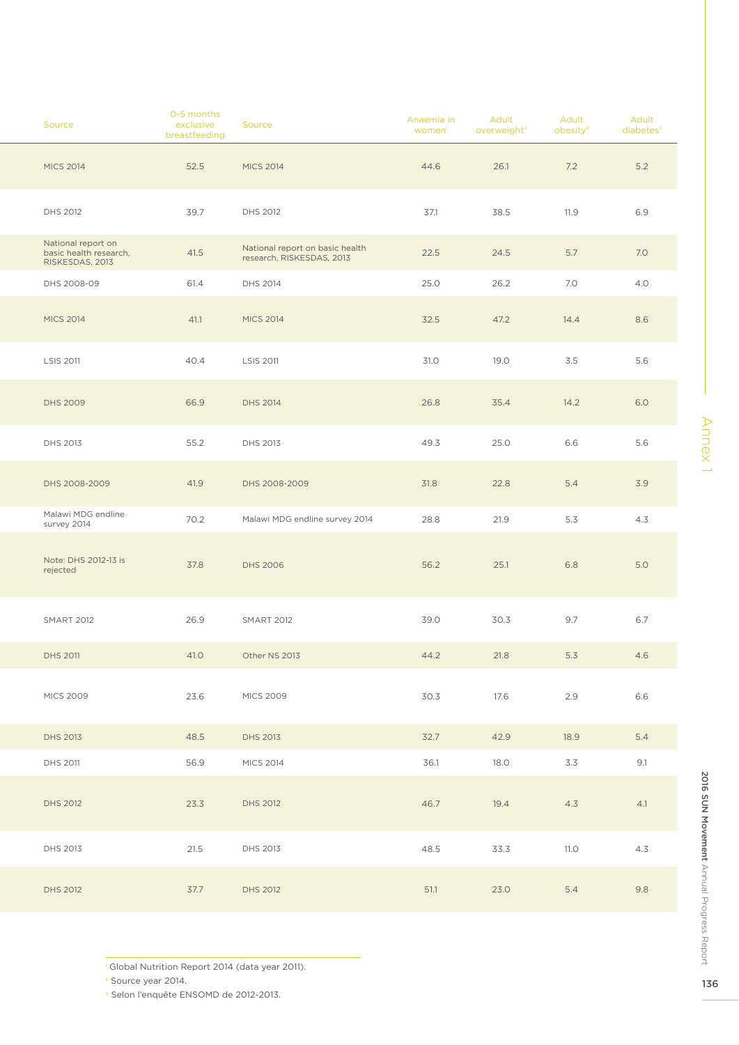| Source                                                          | 0-5 months<br>exclusive<br>breastfeeding | Source                                                       | Anaemia in<br>women | Adult<br>overweightii | Adult<br>obesityii | Adult<br>diabetesii |
|-----------------------------------------------------------------|------------------------------------------|--------------------------------------------------------------|---------------------|-----------------------|--------------------|---------------------|
| <b>MICS 2014</b>                                                | 52.5                                     | <b>MICS 2014</b>                                             | 44.6                | 26.1                  | 7.2                | 5.2                 |
| DHS 2012                                                        | 39.7                                     | DHS 2012                                                     | 37.1                | 38.5                  | 11.9               | 6.9                 |
| National report on<br>basic health research,<br>RISKESDAS, 2013 | 41.5                                     | National report on basic health<br>research, RISKESDAS, 2013 | 22.5                | 24.5                  | 5.7                | 7.0                 |
| DHS 2008-09                                                     | 61.4                                     | DHS 2014                                                     | 25.0                | 26.2                  | 7.0                | 4.0                 |
| <b>MICS 2014</b>                                                | 41.1                                     | <b>MICS 2014</b>                                             | 32.5                | 47.2                  | 14.4               | 8.6                 |
| <b>LSIS 2011</b>                                                | 40.4                                     | <b>LSIS 2011</b>                                             | 31.0                | 19.0                  | 3.5                | 5.6                 |
| <b>DHS 2009</b>                                                 | 66.9                                     | <b>DHS 2014</b>                                              | 26.8                | 35.4                  | 14.2               | 6.0                 |
| <b>DHS 2013</b>                                                 | 55.2                                     | DHS 2013                                                     | 49.3                | 25.0                  | 6.6                | 5.6                 |
| DHS 2008-2009                                                   | 41.9                                     | DHS 2008-2009                                                | $31.8^\circ$        | 22.8                  | 5.4                | 3.9                 |
| Malawi MDG endline<br>survey 2014                               | 70.2                                     | Malawi MDG endline survey 2014                               | 28.8                | 21.9                  | 5.3                | 4.3                 |
| Note: DHS 2012-13 is<br>rejected                                | 37.8                                     | <b>DHS 2006</b>                                              | 56.2                | 25.1                  | 6.8                | 5.0                 |
| <b>SMART 2012</b>                                               | 26.9                                     | <b>SMART 2012</b>                                            | 39.0                | 30.3                  | 9.7                | 6.7                 |
| <b>DHS 2011</b>                                                 | 41.0                                     | Other NS 2013                                                | 44.2                | 21.8                  | 5.3                | 4.6                 |
| <b>MICS 2009</b>                                                | 23.6                                     | <b>MICS 2009</b>                                             | 30.3                | 17.6                  | 2.9                | 6.6                 |
| <b>DHS 2013</b>                                                 | 48.5                                     | <b>DHS 2013</b>                                              | 32.7                | 42.9                  | 18.9               | 5.4                 |
| DHS 2011                                                        | 56.9                                     | <b>MICS 2014</b>                                             | 36.1                | 18.0                  | 3.3                | 9.1                 |
| DHS 2012                                                        | 23.3                                     | <b>DHS 2012</b>                                              | 46.7                | 19.4                  | 4.3                | 4.1                 |
| DHS 2013                                                        | 21.5                                     | DHS 2013                                                     | 48.5                | 33.3                  | 11.0               | 4.3                 |
| <b>DHS 2012</b>                                                 | 37.7                                     | <b>DHS 2012</b>                                              | 51.1                | 23.0                  | 5.4                | 9.8                 |

i Global Nutrition Report 2014 (data year 2011).

ii Source year 2014.

v Selon l'enquête ENSOMD de 2012-2013.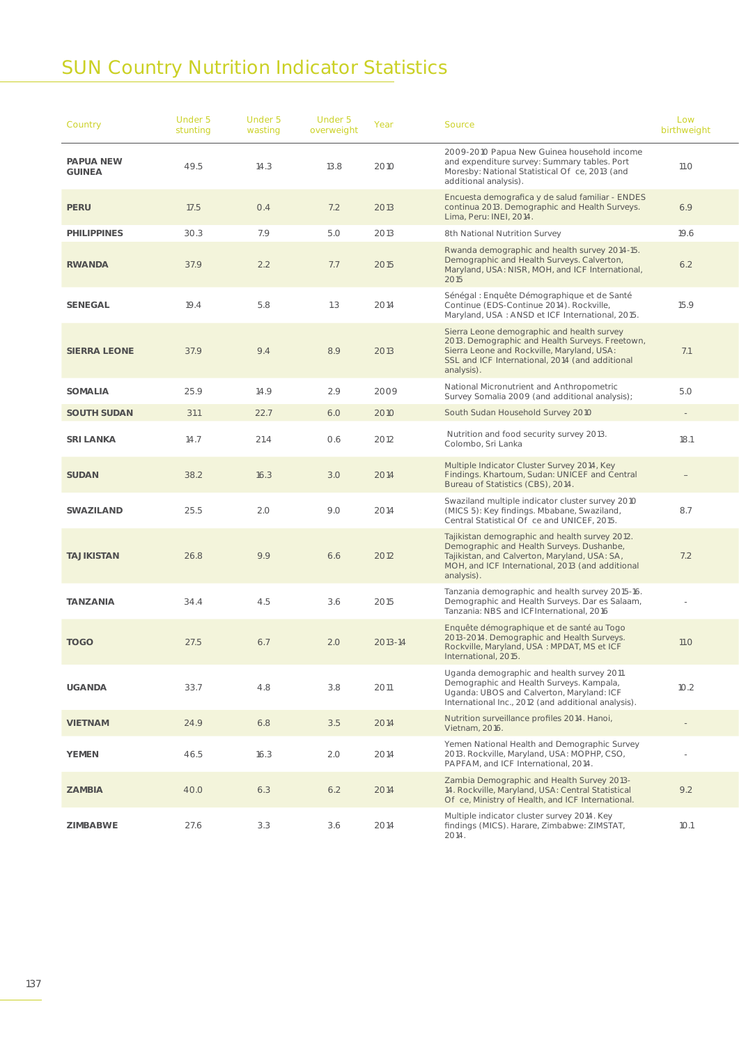## SUN Country Nutrition Indicator Statistics

| Country                    | Under 5<br>stunting | Under 5<br>wasting | Under 5<br>overweight | Year    | Source                                                                                                                                                                                                         | Low<br>birthweight |
|----------------------------|---------------------|--------------------|-----------------------|---------|----------------------------------------------------------------------------------------------------------------------------------------------------------------------------------------------------------------|--------------------|
| <b>PAPUA NEW</b><br>GUINEA | 49.5                | 14.3               | 13.8                  | 2010    | 2009-2010 Papua New Guinea household income<br>and expenditure survey: Summary tables. Port<br>Moresby: National Statistical O ce, 2013 (and<br>additional analysis).                                          | 11.O               |
| <b>PERU</b>                | 17.5                | O.4                | 7.2                   | 2013    | Encuesta demografica y de salud familiar - ENDES<br>continua 2013. Demographic and Health Surveys.<br>Lima, Peru: INEI, 2014.                                                                                  | 6.9                |
| <b>PHILIPPINES</b>         | 30.3                | 7.9                | 5.0                   | 2013    | 8th National Nutrition Survey                                                                                                                                                                                  | 19.6               |
| <b>RWANDA</b>              | 37.9                | 2.2                | 7.7                   | 2015    | Rwanda demographic and health survey 2014-15.<br>Demographic and Health Surveys. Calverton,<br>Maryland, USA: NISR, MOH, and ICF International,<br>2015                                                        | 6.2                |
| <b>SENEGAL</b>             | 19.4                | 5.8                | 1.3                   | 2014    | Sénégal : Enquête Démographique et de Santé<br>Continue (EDS-Continue 2014). Rockville,<br>Maryland, USA: ANSD et ICF International, 2015.                                                                     | 15.9               |
| <b>SIERRA LEONE</b>        | 37.9                | 9.4                | 8.9                   | 2013    | Sierra Leone demographic and health survey<br>2013. Demographic and Health Surveys. Freetown,<br>Sierra Leone and Rockville, Maryland, USA:<br>SSL and ICF International, 2014 (and additional<br>analysis).   | 7.1                |
| <b>SOMALIA</b>             | 25.9                | 14.9               | 2.9                   | 2009    | National Micronutrient and Anthropometric<br>Survey Somalia 2009 (and additional analysis);                                                                                                                    | 5.O                |
| <b>SOUTH SUDAN</b>         | 31.1                | 22.7               | 6.0                   | 2010    | South Sudan Household Survey 2010                                                                                                                                                                              | $\alpha = 0.01$    |
| <b>SRI LANKA</b>           | 14.7                | 21.4               | 0.6                   | 2012    | Nutrition and food security survey 2013.<br>Colombo, Sri Lanka                                                                                                                                                 | 18.1               |
| <b>SUDAN</b>               | 38.2                | 16.3               | 3.0                   | 2014    | Multiple Indicator Cluster Survey 2014, Key<br>Findings. Khartoum, Sudan: UNICEF and Central<br>Bureau of Statistics (CBS), 2014.                                                                              |                    |
| SWAZILAND                  | 25.5                | 2.0                | 9.0                   | 2014    | Swaziland multiple indicator cluster survey 2010<br>(MICS 5): Key findings. Mbabane, Swaziland,<br>Central Statistical O ce and UNICEF, 2015.                                                                  | 8.7                |
| <b>TAJIKISTAN</b>          | 26.8                | 9.9                | 6.6                   | 2012    | Tajikistan demographic and health survey 2012.<br>Demographic and Health Surveys. Dushanbe,<br>Tajikistan, and Calverton, Maryland, USA: SA,<br>MOH, and ICF International, 2013 (and additional<br>analysis). | 7.2                |
| <b>TANZANIA</b>            | 34.4                | 4.5                | 3.6                   | 2015    | Tanzania demographic and health survey 2015-16.<br>Demographic and Health Surveys. Dar es Salaam,<br>Tanzania: NBS and ICFInternational, 2016                                                                  |                    |
| <b>TOGO</b>                | 27.5                | 6.7                | 2.0                   | 2013-14 | Enquête démographique et de santé au Togo<br>2013-2014. Demographic and Health Surveys.<br>Rockville, Maryland, USA: MPDAT, MS et ICF<br>International, 2015.                                                  | 11.0               |
| <b>UGANDA</b>              | 33.7                | 4.8                | 3.8                   | 2011    | Uganda demographic and health survey 2011.<br>Demographic and Health Surveys. Kampala,<br>Uganda: UBOS and Calverton, Maryland: ICF<br>International Inc., 2012 (and additional analysis).                     | 10.2               |
| <b>VIETNAM</b>             | 24.9                | 6.8                | 3.5                   | 2014    | Nutrition surveillance profiles 2014. Hanoi,<br>Vietnam, 2016.                                                                                                                                                 |                    |
| <b>YEMEN</b>               | 46.5                | 16.3               | 2.0                   | 2014    | Yemen National Health and Demographic Survey<br>2013. Rockville, Maryland, USA: MOPHP, CSO,<br>PAPFAM, and ICF International, 2014.                                                                            | $\sim$             |
| <b>ZAMBIA</b>              | 40.0                | 6.3                | 6.2                   | 2014    | Zambia Demographic and Health Survey 2013-<br>14. Rockville, Maryland, USA: Central Statistical<br>O ce, Ministry of Health, and ICF International.                                                            | 9.2                |
| ZIMBABWE                   | 27.6                | 3.3                | 3.6                   | 2014    | Multiple indicator cluster survey 2014. Key<br>findings (MICS). Harare, Zimbabwe: ZIMSTAT,<br>2014.                                                                                                            | 10.1               |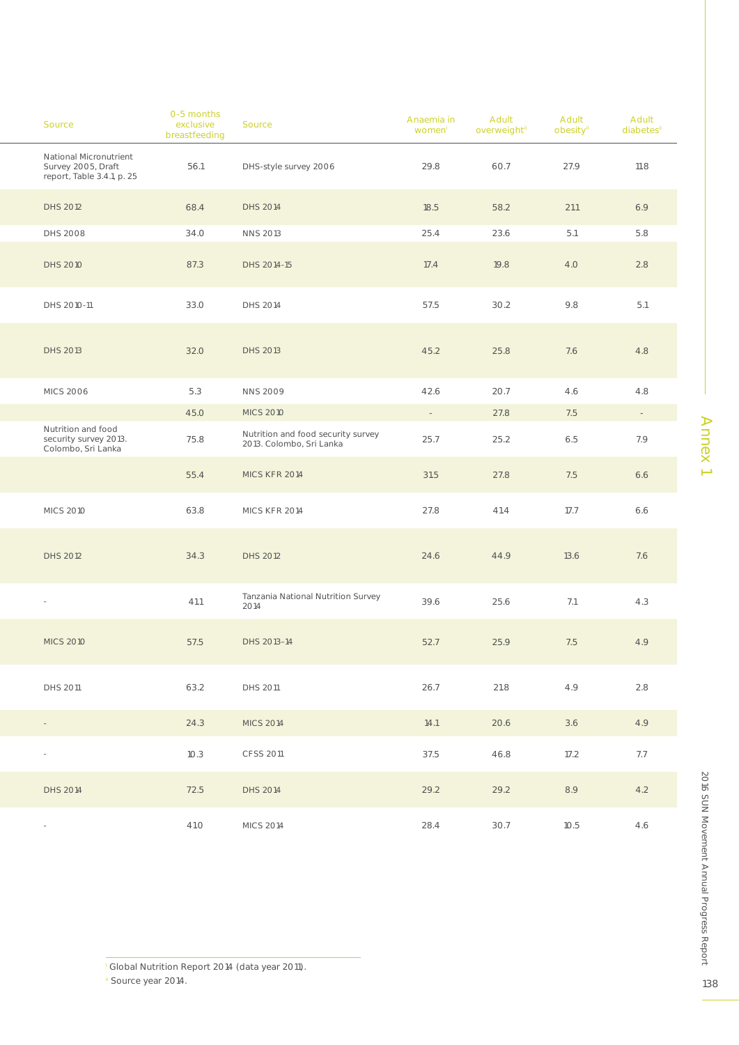|                            | Source                                                                     | 0-5 months<br>exclusive<br>breastfeeding | Source                                                         | Anaemia in<br>women | Adult<br>overweighti | Adult<br>obesity | Adult<br>diabetes |
|----------------------------|----------------------------------------------------------------------------|------------------------------------------|----------------------------------------------------------------|---------------------|----------------------|------------------|-------------------|
|                            | National Micronutrient<br>Survey 2005, Draft<br>report, Table 3.4.1, p. 25 | 56.1                                     | DHS-style survey 2006                                          | 29.8                | 60.7                 | 27.9             | 11.8              |
|                            | DHS 2012                                                                   | 68.4                                     | <b>DHS 2014</b>                                                | 18.5                | 58.2                 | 21.1             | 6.9               |
|                            | <b>DHS 2008</b>                                                            | 34.O                                     | <b>NNS 2013</b>                                                | 25.4                | 23.6                 | 5.1              | 5.8               |
|                            | <b>DHS 2010</b>                                                            | 87.3                                     | DHS 2014-15                                                    | 17.4                | 19.8                 | 4.O              | 2.8               |
|                            | DHS 2010-11                                                                | 33.O                                     | DHS 2014                                                       | 57.5                | 30.2                 | 9.8              | 5.1               |
|                            | <b>DHS 2013</b>                                                            | 32.0                                     | <b>DHS 2013</b>                                                | 45.2                | 25.8                 | 7.6              | 4.8               |
|                            | <b>MICS 2006</b>                                                           | 5.3                                      | <b>NNS 2009</b>                                                | 42.6                | 20.7                 | 4.6              | 4.8               |
|                            |                                                                            | 45.O                                     | <b>MICS 2010</b>                                               | $\sim 10$           | 27.8                 | 7.5              | $\sim 10^{-1}$    |
|                            | Nutrition and food<br>security survey 2013.<br>Colombo, Sri Lanka          | 75.8                                     | Nutrition and food security survey<br>2013. Colombo, Sri Lanka | 25.7                | 25.2                 | 6.5              | 7.9               |
|                            |                                                                            | 55.4                                     | MICS KFR 2014                                                  | 31.5                | 27.8                 | 7.5              | 6.6               |
|                            | <b>MICS 2010</b>                                                           | 63.8                                     | MICS KFR 2014                                                  | 27.8                | 41.4                 | 17.7             | 6.6               |
|                            | DHS 2012                                                                   | 34.3                                     | <b>DHS 2012</b>                                                | 24.6                | 44.9                 | 13.6             | 7.6               |
| $\sim$                     |                                                                            | 41.1                                     | Tanzania National Nutrition Survey<br>2014                     | 39.6                | 25.6                 | 7.1              | 4.3               |
|                            | <b>MICS 2010</b>                                                           | 57.5                                     | DHS 2013-14                                                    | 52.7                | 25.9                 | 7.5              | 4.9               |
|                            | <b>DHS 2011</b>                                                            | 63.2                                     | DHS 2011                                                       | 26.7                | 21.8                 | 4.9              | 2.8               |
| $\sim 10^{-10}$ km $^{-1}$ |                                                                            | 24.3                                     | <b>MICS 2014</b>                                               | 14.1                | 20.6                 | 3.6              | 4.9               |
| $\sim$                     |                                                                            | 10.3                                     | CFSS 2011                                                      | 37.5                | 46.8                 | 17.2             | 7.7               |
|                            | DHS 2014                                                                   | 72.5                                     | <b>DHS 2014</b>                                                | 29.2                | 29.2                 | 8.9              | 4.2               |
|                            |                                                                            | 41.O                                     | <b>MICS 2014</b>                                               | 28.4                | 30.7                 | 10.5             | 4.6               |

i Global Nutrition Report 2014 (data year 2011).

ii Source year 2014.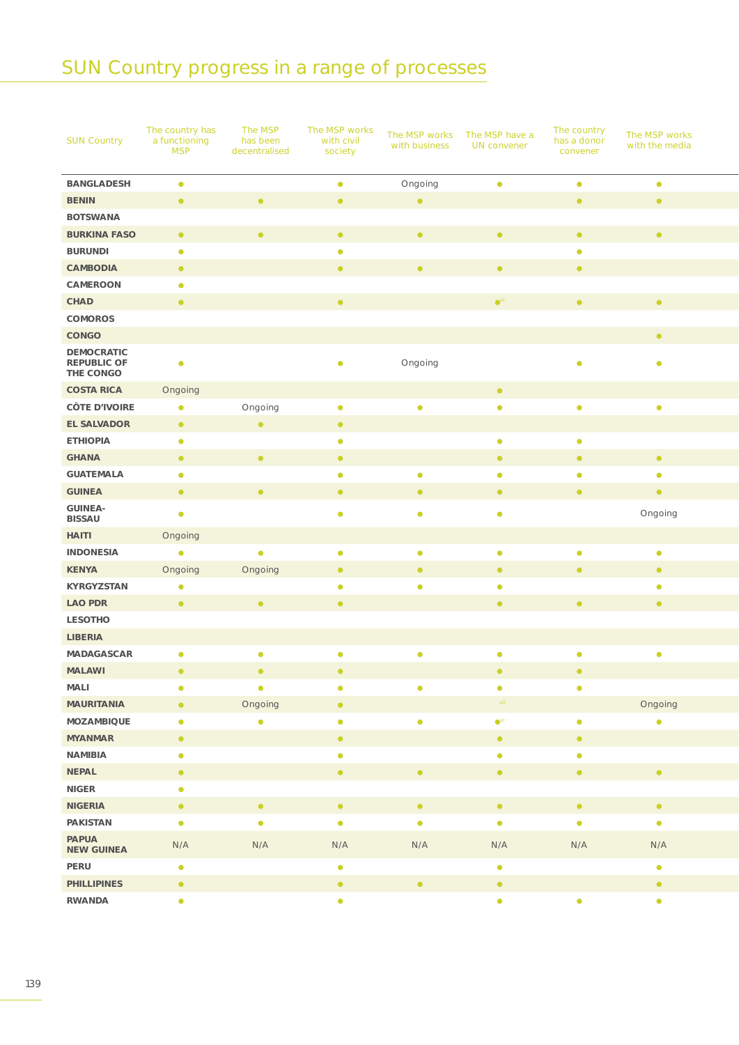### SUN Country progress in a range of processes

| <b>SUN Country</b>                                   | The country has<br>a functioning<br><b>MSP</b> | The MSP<br>has been<br>decentralised | The MSP works<br>with civil<br>society | with business | The MSP works The MSP have a<br><b>UN</b> convener | The country<br>has a donor<br>convener | The MSP works<br>with the media |
|------------------------------------------------------|------------------------------------------------|--------------------------------------|----------------------------------------|---------------|----------------------------------------------------|----------------------------------------|---------------------------------|
| <b>BANGLADESH</b>                                    | $\bullet$                                      |                                      | $\bullet$                              | Ongoing       | $\bullet$                                          | $\bullet$                              | $\bullet$                       |
| <b>BENIN</b>                                         | $\bullet$                                      | $\bullet$                            | $\bullet$                              | $\bullet$ .   |                                                    | $\bullet$ .                            | $\bullet$                       |
| <b>BOTSWANA</b>                                      |                                                |                                      |                                        |               |                                                    |                                        |                                 |
| <b>BURKINA FASO</b>                                  | $\bullet$                                      | $\bullet$                            | $\bullet$                              | $\bullet$ .   | $\bullet$                                          | $\bullet$ .                            | $\bullet$                       |
| <b>BURUNDI</b>                                       | $\bullet$                                      |                                      | $\bullet$                              |               |                                                    | $\bullet$                              |                                 |
| CAMBODIA                                             | $\bullet$                                      |                                      | $\bullet$                              | $\bullet$     | $\bullet$                                          | $\bullet$                              |                                 |
| CAMEROON                                             | $\bullet$                                      |                                      |                                        |               |                                                    |                                        |                                 |
| CHAD                                                 | $\bullet$                                      |                                      | $\bullet$                              |               | $\bullet$ <sup>vi</sup>                            | $\bullet$                              | $\bullet$                       |
| COMOROS                                              |                                                |                                      |                                        |               |                                                    |                                        |                                 |
| CONGO                                                |                                                |                                      |                                        |               |                                                    |                                        | $\bullet$ .                     |
| <b>DEMOCRATIC</b><br><b>REPUBLIC OF</b><br>THE CONGO | $\bullet$                                      |                                      | $\bullet$                              | Ongoing       |                                                    | $\bullet$                              | $\bullet$                       |
| <b>COSTA RICA</b>                                    | Ongoing                                        |                                      |                                        |               | $\bullet$                                          |                                        |                                 |
| <b>CÔTE D'IVOIRE</b>                                 | $\bullet$                                      | Ongoing                              | $\bullet$                              | $\bullet$     | $\bullet$                                          | $\bullet$                              | $\bullet$                       |
| EL SALVADOR                                          | $\bullet$                                      | $\bullet$                            | $\bullet$                              |               |                                                    |                                        |                                 |
| <b>ETHIOPIA</b>                                      | $\bullet$                                      |                                      | $\bullet$                              |               | $\bullet$                                          | $\bullet$                              |                                 |
| <b>GHANA</b>                                         | $\bullet$                                      | $\bullet$                            | $\bullet$                              |               | $\bullet$                                          | $\bullet$                              | $\bullet$                       |
| <b>GUATEMALA</b>                                     | $\bullet$                                      |                                      | $\bullet$                              | $\bullet$     | $\bullet$                                          | $\bullet$                              | $\bullet$                       |
| <b>GUINEA</b>                                        | $\bullet$                                      | $\bullet$                            | $\bullet$                              | $\bullet$     | $\bullet$                                          | $\bullet$                              | $\bullet$                       |
| <b>GUINEA-</b><br><b>BISSAU</b>                      | $\bullet$                                      |                                      | $\bullet$                              | $\bullet$     | $\bullet$                                          |                                        | Ongoing                         |
| <b>HAITI</b>                                         | Ongoing                                        |                                      |                                        |               |                                                    |                                        |                                 |
| <b>INDONESIA</b>                                     | $\bullet$                                      | $\bullet$                            | $\bullet$                              | $\bullet$     | $\bullet$                                          | $\bullet$                              | $\bullet$                       |
| <b>KENYA</b>                                         | Ongoing                                        | Ongoing                              | $\bullet$                              | $\bullet$     | $\bullet$                                          | $\bullet$                              | $\bullet$                       |
| KYRGYZSTAN                                           | $\bullet$                                      |                                      | $\bullet$                              | $\bullet$     | $\bullet$                                          |                                        | $\bullet$                       |
| <b>LAO PDR</b>                                       | $\bullet$                                      | $\bullet$                            | $\bullet$                              |               | $\bullet$                                          | $\bullet$ .                            | $\bullet$                       |
| LESOTHO                                              |                                                |                                      |                                        |               |                                                    |                                        |                                 |
|                                                      |                                                |                                      |                                        |               |                                                    |                                        |                                 |
| LIBERIA                                              |                                                |                                      |                                        |               |                                                    |                                        |                                 |
| MADAGASCAR                                           | $\bullet$                                      | $\bullet$                            | $\bullet$                              | $\bullet$     | $\bullet$                                          | $\bullet$                              | $\bullet$                       |
| <b>MALAWI</b>                                        | $\bullet$                                      | $\bullet$                            | $\bullet$                              |               | $\bullet$                                          | $\bullet$                              |                                 |
| MALI                                                 | $\bullet$                                      | $\bullet$                            | $\bullet$                              | $\bullet$     | $\bullet$                                          | $\bullet$                              |                                 |
| <b>MAURITANIA</b>                                    | $\bullet$                                      | Ongoing                              | $\bullet$                              |               | $\sim$ vii $\sim$                                  |                                        | Ongoing                         |
| MOZAMBIQUE                                           | $\bullet$                                      | $\bullet$                            | $\bullet$                              | $\bullet$     | $\bullet$ <sup>vi</sup>                            | $\bullet$                              | $\bullet$                       |
| <b>MYANMAR</b>                                       | $\bullet$                                      |                                      | $\bullet$                              |               | $\bullet$                                          | $\bullet$                              |                                 |
| NAMIBIA                                              | $\bullet$                                      |                                      | $\bullet$                              |               | $\bullet$                                          | $\bullet$                              |                                 |
| <b>NEPAL</b>                                         | $\bullet$                                      |                                      | $\bullet$                              | $\bullet$ .   | $\bullet$                                          | $\bullet$                              | $\bullet$                       |
| ${\sf NIGER}$                                        | $\bullet$                                      |                                      |                                        |               |                                                    |                                        |                                 |
| <b>NIGERIA</b>                                       | $\bullet$ .                                    | $\bullet$                            | $\bullet$                              | $\bullet$ .   | $\bullet$                                          | $\bullet$ .                            | $\bullet$                       |
| PAKISTAN                                             | $\bullet$                                      | $\bullet$                            | $\bullet$                              | $\bullet$     | $\bullet$                                          | $\bullet$                              | $\bullet$                       |
| PAPUA<br><b>NEW GUINEA</b>                           | N/A                                            | N/A                                  | N/A                                    | N/A           | N/A                                                | N/A                                    | N/A                             |
| PERU                                                 | $\bullet$                                      |                                      | $\bullet$                              |               | $\bullet$                                          |                                        | $\bullet$                       |
| <b>PHILLIPINES</b>                                   | $\bullet$                                      |                                      | $\bullet$                              | $\bullet$     | $\bullet$                                          |                                        | $\bullet$                       |
| RWANDA                                               | $\bullet$                                      |                                      | $\bullet$                              |               | $\bullet$                                          | $\bullet$                              | $\bullet$                       |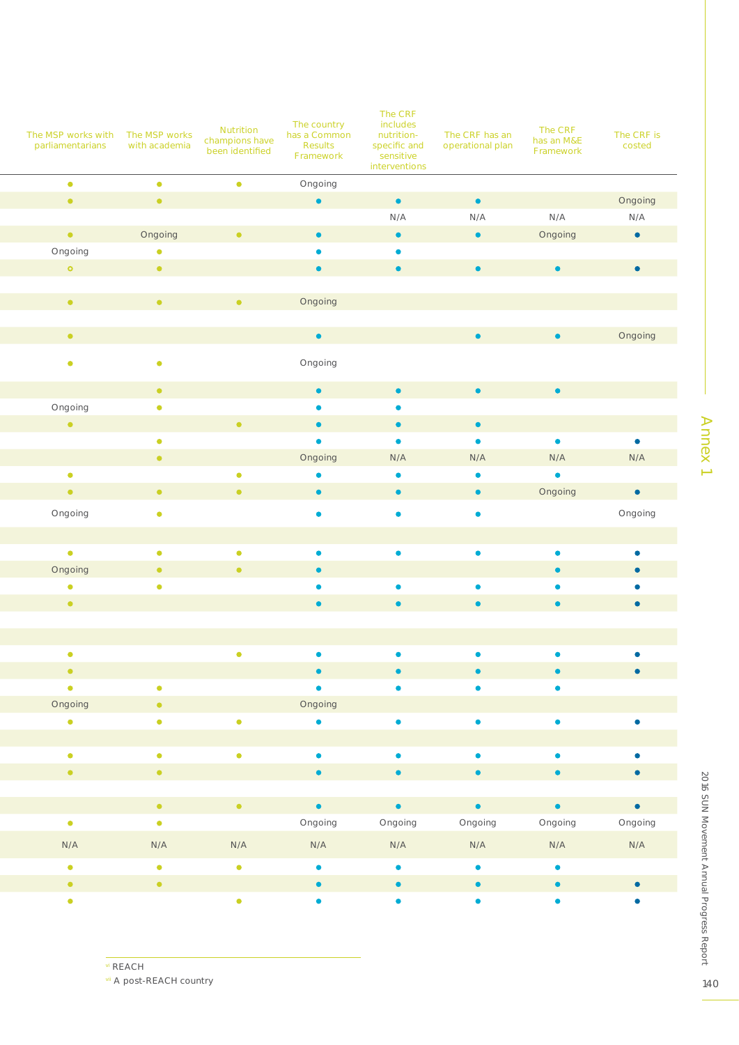|                                  |                                                                     |                                   |                             | The CRF                |                  |                         |            |
|----------------------------------|---------------------------------------------------------------------|-----------------------------------|-----------------------------|------------------------|------------------|-------------------------|------------|
| The MSP works with The MSP works |                                                                     | Nutrition                         | The country<br>has a Common | includes<br>nutrition- | The CRF has an   | The CRF                 | The CRF is |
| parliamentarians with academia   |                                                                     | champions have<br>been identified | Results                     | specific and           | operational plan | has an M&E<br>Framework | costed     |
|                                  |                                                                     |                                   | Framework                   | sensitive              |                  |                         |            |
| $\bullet$                        | $\bullet$                                                           | $\bullet$                         |                             | interventions          |                  |                         |            |
| $\bullet$ .                      | $\bullet$                                                           |                                   | Ongoing<br>$\bullet$        | $\bullet$              | $\bullet$        |                         | Ongoing    |
|                                  |                                                                     |                                   |                             | N/A                    | N/A              | N/A                     | N/A        |
| $\bullet$ .                      | Ongoing                                                             | $\bullet$                         | $\bullet$                   | $\bullet$              | $\bullet$        | Ongoing                 | $\bullet$  |
| Ongoing                          | $\bullet$                                                           |                                   | $\bullet$                   | $\bullet$              |                  |                         |            |
| $\bullet$                        | $\bullet$ .                                                         |                                   | $\bullet$                   | $\bullet$              | $\bullet$        | $\bullet$               | $\bullet$  |
|                                  |                                                                     |                                   |                             |                        |                  |                         |            |
| $\bullet$                        | $\bullet$ .                                                         | $\bullet$                         | Ongoing                     |                        |                  |                         |            |
|                                  |                                                                     |                                   |                             |                        |                  |                         |            |
| $\bullet$ .                      |                                                                     |                                   | $\bullet$ .                 |                        | $\bullet$        | $\bullet$               | Ongoing    |
|                                  |                                                                     |                                   |                             |                        |                  |                         |            |
| $\bullet$                        | $\bullet$                                                           |                                   | Ongoing                     |                        |                  |                         |            |
|                                  |                                                                     |                                   |                             |                        |                  |                         |            |
|                                  | $\bullet$ .                                                         |                                   | $\bullet$                   | $\bullet$              | $\bullet$        | $\bullet$               |            |
| Ongoing<br>$\bullet$ .           | $\bullet$                                                           |                                   | $\bullet$                   | $\bullet$              |                  |                         |            |
|                                  |                                                                     | $\bullet$                         | $\bullet$                   | $\bullet$              | $\bullet$        |                         |            |
|                                  | $\bullet$                                                           |                                   | $\bullet$                   | $\bullet$              | $\bullet$        | $\bullet$               | $\bullet$  |
|                                  | $\bullet$ .                                                         |                                   | Ongoing                     | N/A                    | N/A              | N/A                     | N/A        |
| $\bullet$                        |                                                                     | $\bullet$                         | $\bullet$                   | $\bullet$              | $\bullet$        | $\bullet$               |            |
| $\bullet$                        | $\bullet$                                                           | $\bullet$                         | $\bullet$                   | $\bullet$              | $\bullet$        | Ongoing                 | $\bullet$  |
| Ongoing                          | $\bullet$                                                           |                                   | $\bullet$                   | $\bullet$              | $\bullet$        |                         | Ongoing    |
|                                  |                                                                     |                                   |                             |                        |                  |                         |            |
| $\bullet$                        | $\bullet$                                                           | $\bullet$                         | $\bullet$                   | $\bullet$              | $\bullet$        | $\bullet$               | $\bullet$  |
| Ongoing                          | $\bullet$                                                           | $\bullet$                         | $\bullet$                   |                        |                  | $\bullet$               | $\bullet$  |
| $\bullet$                        | $\bullet$                                                           |                                   | $\bullet$                   | $\bullet$              | $\bullet$        | $\bullet$               | $\bullet$  |
| $\bullet$                        |                                                                     |                                   | $\bullet$                   | $\bullet$              | $\bullet$        | $\bullet$               |            |
|                                  |                                                                     |                                   |                             |                        |                  |                         |            |
|                                  |                                                                     |                                   |                             |                        |                  |                         |            |
|                                  |                                                                     | $\bullet$                         | $\bullet$                   | $\bullet$              | $\bullet$        | $\bullet$               | $\bullet$  |
| $\bullet$                        |                                                                     |                                   | $\bullet$                   |                        |                  |                         | $\bullet$  |
| $\bullet$                        | $\bullet$                                                           |                                   | $\bullet$                   | $\bullet$              | $\bullet$        | $\bullet$               |            |
| Ongoing                          | $\bullet$ .                                                         |                                   | Ongoing                     |                        |                  |                         |            |
| $\bullet$                        | $\bullet$                                                           | $\bullet$                         | $\bullet$                   | $\bullet$              | $\bullet$        | $\bullet$               | $\bullet$  |
|                                  |                                                                     |                                   |                             |                        |                  |                         |            |
| $\bullet$                        | $\bullet$                                                           | $\bullet$                         | $\bullet$                   | $\bullet$              | $\bullet$        | $\bullet$               | $\bullet$  |
| $\bullet$ .                      | $\bullet$ .                                                         |                                   | $\bullet$ .                 | $\bullet$              | $\bullet$        | $\bullet$ .             | $\bullet$  |
|                                  |                                                                     |                                   |                             |                        |                  |                         |            |
|                                  | $\bullet$ .<br><br><br><br><br><br><br><br><br><br><br><br><br><br> | <b>To A</b>                       | $\bullet$ .                 | $\bullet$ .            | $\bullet$ .      | $\bullet$ .             | $\bullet$  |
| $\bullet$ .                      | $\bullet$ .                                                         |                                   | Ongoing                     | Ongoing                | Ongoing          | Ongoing                 | Ongoing    |
|                                  |                                                                     |                                   |                             |                        |                  |                         |            |
| N/A                              | N/A                                                                 | N/A                               | N/A                         | N/A                    | N/A              | N/A                     | N/A        |
| $\bullet$ .                      | $\bullet$                                                           | $\bullet$                         | $\bullet$                   | $\bullet$              | $\bullet$        | $\bullet$               |            |
| $\bullet$ .                      | $\bullet$ .                                                         |                                   | $\bullet$                   | $\bullet$              | $\bullet$        | $\bullet$               | $\bullet$  |
| $\bullet$                        |                                                                     | $\bullet$                         | $\bullet$                   | $\bullet$              | $\bullet$        | $\bullet$               | $\bullet$  |
|                                  |                                                                     |                                   |                             |                        |                  |                         |            |

vi REACH

vii A post-REACH country

Annex<sub>1</sub> Annex 1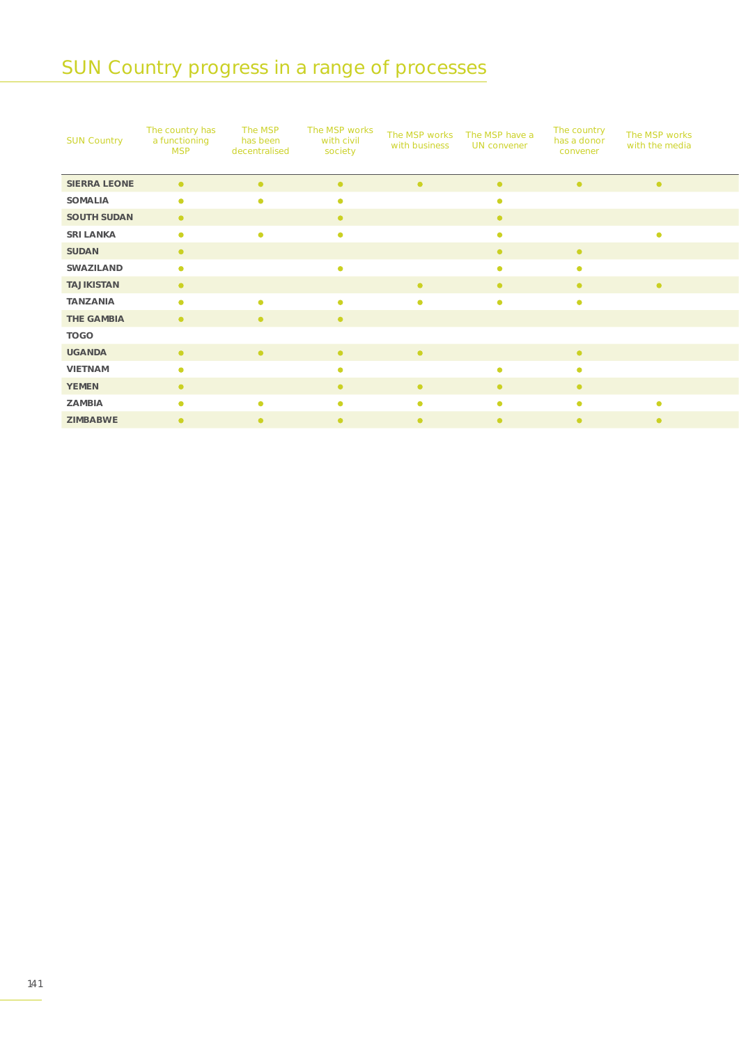## SUN Country progress in a range of processes

| <b>SUN Country</b>  | The country has<br>a functioning<br><b>MSP</b> | The MSP<br>has been<br>decentralised | The MSP works<br>with civil<br>society | with business | The MSP works The MSP have a<br>UN convener | The country<br>has a donor<br>convener | The MSP works<br>with the media |
|---------------------|------------------------------------------------|--------------------------------------|----------------------------------------|---------------|---------------------------------------------|----------------------------------------|---------------------------------|
| <b>SIERRA LEONE</b> | $\bullet$                                      |                                      |                                        |               | $\bullet$                                   |                                        | $\bullet$                       |
| SOMALIA             | $\bullet$                                      |                                      | ٠                                      |               |                                             |                                        |                                 |
| SOUTH SUDAN         | $\bullet$                                      |                                      | $\bullet$                              |               | $\bullet$                                   |                                        |                                 |
| SRI LANKA           | $\bullet$                                      |                                      | $\bullet$                              |               |                                             |                                        |                                 |
| SUDAN               | $\bullet$                                      |                                      |                                        |               | $\bullet$                                   | $\bullet$                              |                                 |
| SWAZILAND           | $\bullet$                                      |                                      | $\bullet$                              |               | $\bullet$                                   | $\bullet$                              |                                 |
| TAJIKISTAN          | $\bullet$                                      |                                      |                                        | $\bullet$     | $\bullet$                                   | $\bullet$                              | $\bullet$                       |
| TANZANIA            | $\bullet$                                      | $\bullet$                            | $\bullet$                              | $\bullet$     | $\bullet$                                   | $\bullet$                              |                                 |
| THE GAMBIA          | $\bullet$                                      | $\bullet$                            | $\bullet$                              |               |                                             |                                        |                                 |
| <b>TOGO</b>         |                                                |                                      |                                        |               |                                             |                                        |                                 |
| <b>UGANDA</b>       | $\bullet$                                      | $\bullet$                            | $\bullet$                              | $\bullet$     |                                             | $\bullet$                              |                                 |
| VIETNAM             | $\bullet$                                      |                                      | $\bullet$                              |               | $\bullet$                                   | $\bullet$                              |                                 |
| <b>YEMEN</b>        | $\bullet$                                      |                                      | $\bullet$                              | $\bullet$     | $\bullet$                                   | $\bullet$                              |                                 |
| ZAMBIA              | $\bullet$                                      | $\bullet$                            | $\bullet$                              | $\bullet$     | $\bullet$                                   | $\bullet$                              | $\bullet$                       |
| ZIMBABWE            | $\bullet$                                      | $\bullet$                            | $\bullet$                              | $\bullet$     | $\bullet$                                   | $\bullet$                              | $\bullet$                       |